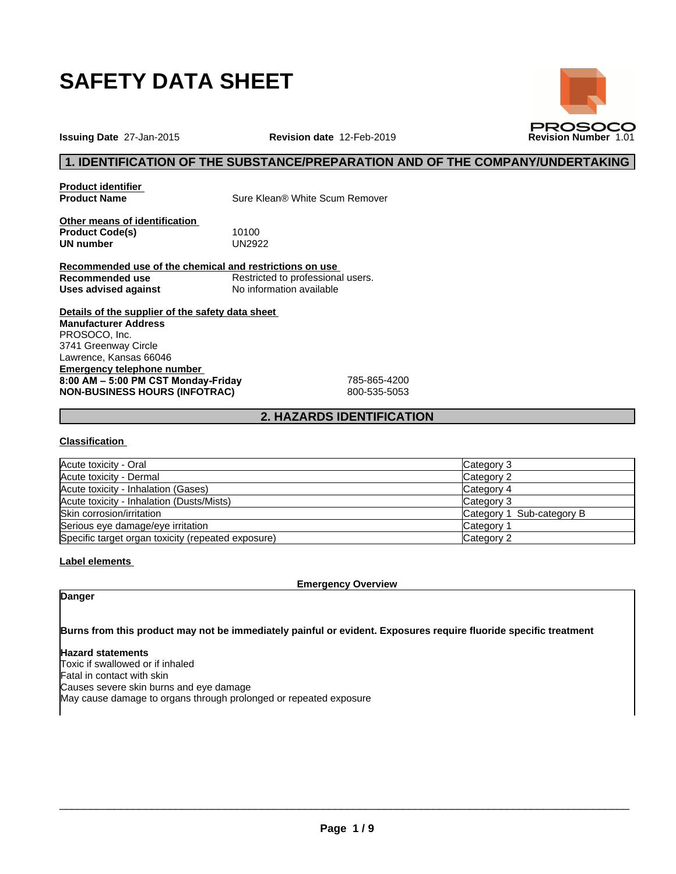

**Issuing Date** 27-Jan-2015 **Revision date** 12-Feb-2019 **Revision Number** 1.01



**Product identifier**

**Product Name** Sure Klean® White Scum Remover

**Other means of identification Product Code(s)** 10100<br> **UN number** UN2922 **UN number** 

**Recommended use of the chemical and restrictions on use Recommended use** Restricted to professional users. **Uses advised against** No information available

**Details of the supplier of the safety data sheet Emergency telephone number 8:00AM–5:00PMCSTMonday-Friday** 785-865-4200 **NON-BUSINESS HOURS (INFOTRAC)** 800-535-5053 **Manufacturer Address** PROSOCO, Inc. 3741 Greenway Circle Lawrence, Kansas 66046

## **2. HAZARDS IDENTIFICATION**

## **Classification**

| Acute toxicity - Oral                              | Category 3                |
|----------------------------------------------------|---------------------------|
| Acute toxicity - Dermal                            | Category 2                |
| Acute toxicity - Inhalation (Gases)                | Category 4                |
| Acute toxicity - Inhalation (Dusts/Mists)          | Category 3                |
| Skin corrosion/irritation                          | Category 1 Sub-category B |
| Serious eye damage/eye irritation                  | Category 1                |
| Specific target organ toxicity (repeated exposure) | Category 2                |

## **Label elements**

**Emergency Overview**

## **Danger**

**Burns from this product may not be immediately painful or evident. Exposures require fluoride specific treatment**

## **Hazard statements**

Toxic if swallowed or if inhaled Fatal in contact with skin Causes severe skin burns and eye damage May cause damage to organs through prolonged or repeated exposure

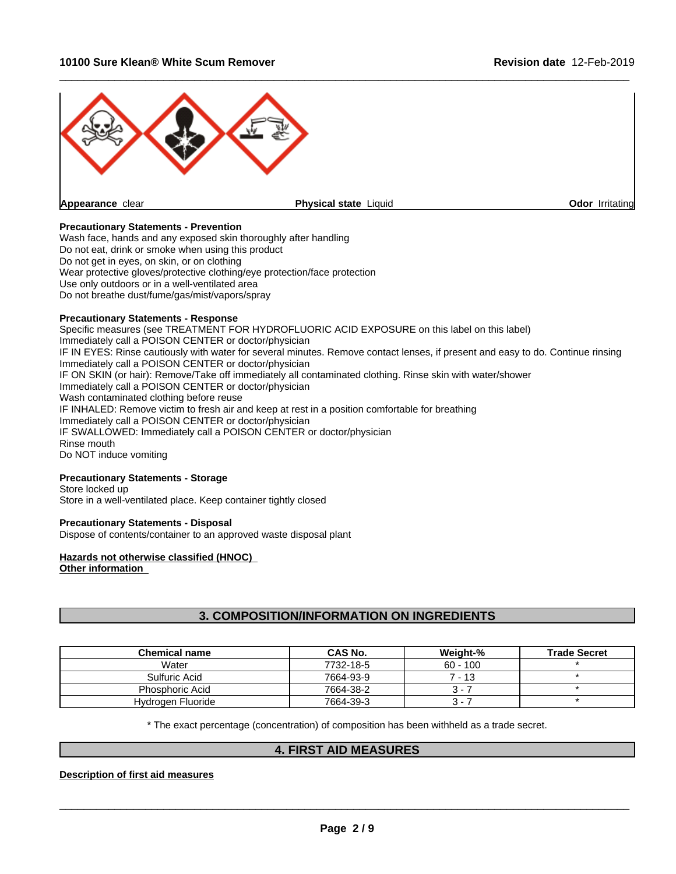## **10100 Sure Klean® White Scum Remover Revision date** 12-Feb-2019



## **Precautionary Statements - Prevention**

Wash face, hands and any exposed skin thoroughly after handling Do not eat, drink or smoke when using this product Do not get in eyes, on skin, or on clothing Wear protective gloves/protective clothing/eye protection/face protection Use only outdoors or in a well-ventilated area Do not breathe dust/fume/gas/mist/vapors/spray

## **Precautionary Statements - Response**

Specific measures (see TREATMENT FOR HYDROFLUORIC ACID EXPOSURE on thislabel on this label) Immediately call a POISON CENTER or doctor/physician IF IN EYES: Rinse cautiously with water for several minutes. Remove contact lenses, if present and easy to do. Continue rinsing Immediately call a POISON CENTER or doctor/physician IF ON SKIN (or hair): Remove/Take off immediately all contaminated clothing. Rinse skin with water/shower Immediately call a POISON CENTER or doctor/physician Wash contaminated clothing before reuse IF INHALED: Remove victim to fresh air and keep at rest in a position comfortable for breathing Immediately call a POISON CENTER or doctor/physician IF SWALLOWED: Immediately call a POISON CENTER or doctor/physician Rinse mouth Do NOT induce vomiting

## **Precautionary Statements - Storage**

Store locked up Store in a well-ventilated place. Keep container tightly closed

## **Precautionary Statements - Disposal**

Dispose of contents/container to an approved waste disposal plant

#### **Hazards not otherwise classified (HNOC) Other information**

# **3. COMPOSITION/INFORMATION ON INGREDIENTS**

| <b>Chemical name</b> | CAS No.   | Weight-%   | <b>Trade Secret</b> |
|----------------------|-----------|------------|---------------------|
| Water                | 7732-18-5 | $60 - 100$ |                     |
| Sulfuric Acid        | 7664-93-9 | 7 - 13     |                     |
| Phosphoric Acid      | 7664-38-2 | ີ.         |                     |
| Hydrogen Fluoride    | 7664-39-3 | ર-         |                     |

\* The exact percentage (concentration) of composition has been withheld as a trade secret.

## **4. FIRST AID MEASURES**

#### **Description of first aid measures**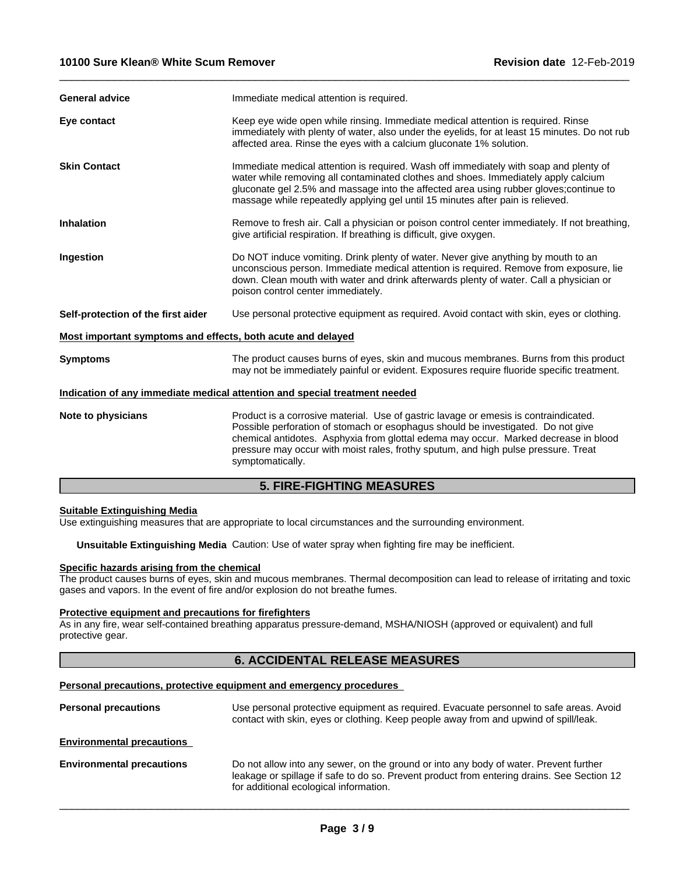| <b>General advice</b>                                       | Immediate medical attention is required.                                                                                                                                                                                                                                                                                                                                  |  |  |
|-------------------------------------------------------------|---------------------------------------------------------------------------------------------------------------------------------------------------------------------------------------------------------------------------------------------------------------------------------------------------------------------------------------------------------------------------|--|--|
| Eye contact                                                 | Keep eye wide open while rinsing. Immediate medical attention is required. Rinse<br>immediately with plenty of water, also under the eyelids, for at least 15 minutes. Do not rub<br>affected area. Rinse the eyes with a calcium gluconate 1% solution.                                                                                                                  |  |  |
| <b>Skin Contact</b>                                         | Immediate medical attention is required. Wash off immediately with soap and plenty of<br>water while removing all contaminated clothes and shoes. Immediately apply calcium<br>gluconate gel 2.5% and massage into the affected area using rubber gloves; continue to<br>massage while repeatedly applying gel until 15 minutes after pain is relieved.                   |  |  |
| <b>Inhalation</b>                                           | Remove to fresh air. Call a physician or poison control center immediately. If not breathing,<br>give artificial respiration. If breathing is difficult, give oxygen.                                                                                                                                                                                                     |  |  |
| Ingestion                                                   | Do NOT induce vomiting. Drink plenty of water. Never give anything by mouth to an<br>unconscious person. Immediate medical attention is required. Remove from exposure, lie<br>down. Clean mouth with water and drink afterwards plenty of water. Call a physician or<br>poison control center immediately.                                                               |  |  |
| Self-protection of the first aider                          | Use personal protective equipment as required. Avoid contact with skin, eyes or clothing.                                                                                                                                                                                                                                                                                 |  |  |
| Most important symptoms and effects, both acute and delayed |                                                                                                                                                                                                                                                                                                                                                                           |  |  |
| <b>Symptoms</b>                                             | The product causes burns of eyes, skin and mucous membranes. Burns from this product<br>may not be immediately painful or evident. Exposures require fluoride specific treatment.                                                                                                                                                                                         |  |  |
|                                                             | Indication of any immediate medical attention and special treatment needed                                                                                                                                                                                                                                                                                                |  |  |
| Note to physicians                                          | Product is a corrosive material. Use of gastric lavage or emesis is contraindicated.<br>Possible perforation of stomach or esophagus should be investigated. Do not give<br>chemical antidotes. Asphyxia from glottal edema may occur. Marked decrease in blood<br>pressure may occur with moist rales, frothy sputum, and high pulse pressure. Treat<br>symptomatically. |  |  |
|                                                             | <b>5. FIRE-FIGHTING MEASURES</b>                                                                                                                                                                                                                                                                                                                                          |  |  |

 $\_$  ,  $\_$  ,  $\_$  ,  $\_$  ,  $\_$  ,  $\_$  ,  $\_$  ,  $\_$  ,  $\_$  ,  $\_$  ,  $\_$  ,  $\_$  ,  $\_$  ,  $\_$  ,  $\_$  ,  $\_$  ,  $\_$  ,  $\_$  ,  $\_$  ,  $\_$  ,  $\_$  ,  $\_$  ,  $\_$  ,  $\_$  ,  $\_$  ,  $\_$  ,  $\_$  ,  $\_$  ,  $\_$  ,  $\_$  ,  $\_$  ,  $\_$  ,  $\_$  ,  $\_$  ,  $\_$  ,  $\_$  ,  $\_$  ,

#### **Suitable Extinguishing Media**

Use extinguishing measures that are appropriate to local circumstances and the surrounding environment.

**Unsuitable Extinguishing Media** Caution: Use of water spray when fighting fire may be inefficient.

#### **Specific hazards arising from the chemical**

The product causes burns of eyes, skin and mucous membranes. Thermal decomposition can lead to release of irritating and toxic gases and vapors. In the event of fire and/or explosion do not breathe fumes.

## **Protective equipment and precautions for firefighters**

As in any fire, wear self-contained breathing apparatus pressure-demand, MSHA/NIOSH (approved or equivalent) and full protective gear.

## **6. ACCIDENTAL RELEASE MEASURES**

## **Personal precautions, protective equipment and emergency procedures**

| <b>Personal precautions</b>      | Use personal protective equipment as required. Evacuate personnel to safe areas. Avoid<br>contact with skin, eyes or clothing. Keep people away from and upwind of spill/leak.                                                |
|----------------------------------|-------------------------------------------------------------------------------------------------------------------------------------------------------------------------------------------------------------------------------|
| <b>Environmental precautions</b> |                                                                                                                                                                                                                               |
| <b>Environmental precautions</b> | Do not allow into any sewer, on the ground or into any body of water. Prevent further<br>leakage or spillage if safe to do so. Prevent product from entering drains. See Section 12<br>for additional ecological information. |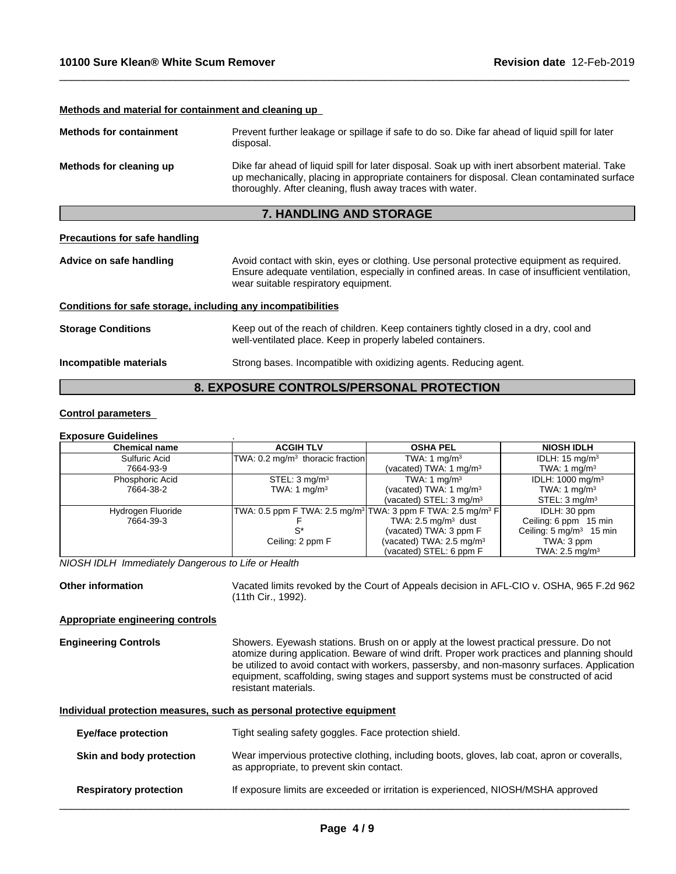## **Methods and material for containment and cleaning up**

| <b>Methods for containment</b> | Prevent further leakage or spillage if safe to do so. Dike far ahead of liquid spill for later<br>disposal.                                                                                                                                                |
|--------------------------------|------------------------------------------------------------------------------------------------------------------------------------------------------------------------------------------------------------------------------------------------------------|
| Methods for cleaning up        | Dike far ahead of liquid spill for later disposal. Soak up with inert absorbent material. Take<br>up mechanically, placing in appropriate containers for disposal. Clean contaminated surface<br>thoroughly. After cleaning, flush away traces with water. |

## **7. HANDLING AND STORAGE**

## **Precautions for safe handling**

Advice on safe handling Avoid contact with skin, eyes or clothing. Use personal protective equipment as required.<br>Ensure adequate ventilation, especially in confined areas. In case of insufficient ventilation, wear suitable respiratory equipment.

 $\_$  ,  $\_$  ,  $\_$  ,  $\_$  ,  $\_$  ,  $\_$  ,  $\_$  ,  $\_$  ,  $\_$  ,  $\_$  ,  $\_$  ,  $\_$  ,  $\_$  ,  $\_$  ,  $\_$  ,  $\_$  ,  $\_$  ,  $\_$  ,  $\_$  ,  $\_$  ,  $\_$  ,  $\_$  ,  $\_$  ,  $\_$  ,  $\_$  ,  $\_$  ,  $\_$  ,  $\_$  ,  $\_$  ,  $\_$  ,  $\_$  ,  $\_$  ,  $\_$  ,  $\_$  ,  $\_$  ,  $\_$  ,  $\_$  ,

#### **Conditions for safe storage, including any incompatibilities**

| <b>Storage Conditions</b> | Keep out of the reach of children. Keep containers tightly closed in a dry, cool and |
|---------------------------|--------------------------------------------------------------------------------------|
|                           | well-ventilated place. Keep in properly labeled containers.                          |
|                           |                                                                                      |

**Incompatible materials** Strong bases. Incompatible with oxidizing agents. Reducing agent.

# **8. EXPOSURE CONTROLS/PERSONAL PROTECTION**

## **Control parameters**

#### **Exposure Guidelines** .

| <b>Chemical name</b> | <b>ACGIH TLV</b>                            | <b>OSHA PEL</b>                                                                     | <b>NIOSH IDLH</b>                  |
|----------------------|---------------------------------------------|-------------------------------------------------------------------------------------|------------------------------------|
| Sulfuric Acid        | TWA: $0.2 \text{ mg/m}^3$ thoracic fraction | TWA: 1 $mq/m3$                                                                      | IDLH: $15 \text{ mg/m}^3$          |
| 7664-93-9            |                                             | (vacated) TWA: 1 $mq/m3$                                                            | TWA: 1 $mq/m3$                     |
| Phosphoric Acid      | STEL: $3 \text{ mg/m}^3$                    | TWA: $1 \text{ mg/m}^3$                                                             | IDLH: 1000 mg/m <sup>3</sup>       |
| 7664-38-2            | TWA: 1 $mq/m3$                              | (vacated) TWA: 1 $mq/m3$                                                            | TWA: 1 $mq/m3$                     |
|                      |                                             | (vacated) STEL: $3 \text{ mg/m}^3$                                                  | STEL: 3 mg/m <sup>3</sup>          |
| Hydrogen Fluoride    |                                             | TWA: 0.5 ppm F TWA: 2.5 mg/m <sup>3</sup> TWA: 3 ppm F TWA: 2.5 mg/m <sup>3</sup> F | IDLH: 30 ppm                       |
| 7664-39-3            |                                             | TWA: $2.5 \text{ mg/m}^3$ dust                                                      | Ceiling: 6 ppm 15 min              |
|                      |                                             | (vacated) TWA: 3 ppm F                                                              | Ceiling: $5 \text{ mg/m}^3$ 15 min |
|                      | Ceiling: 2 ppm F                            | (vacated) TWA: 2.5 mg/m <sup>3</sup>                                                | TWA: 3 ppm                         |
|                      |                                             | (vacated) STEL: 6 ppm F                                                             | TWA: $2.5 \text{ mg/m}^3$          |

*NIOSH IDLH Immediately Dangerous to Life or Health*

**Other information** Vacated limits revoked by the Court of Appeals decision in AFL-CIO v.OSHA, 965 F.2d 962 (11th Cir., 1992).

#### **Appropriate engineering controls**

**Engineering Controls** Showers. Eyewash stations. Brush on or apply at the lowest practical pressure. Do not atomize during application. Beware of wind drift. Proper work practices and planning should be utilized to avoid contact with workers, passersby, and non-masonry surfaces. Application equipment, scaffolding, swing stages and support systems must be constructed of acid resistant materials.

## **Individual protection measures, such as personal protective equipment**

| Eye/face protection           | Tight sealing safety goggles. Face protection shield.                                                                                   |
|-------------------------------|-----------------------------------------------------------------------------------------------------------------------------------------|
| Skin and body protection      | Wear impervious protective clothing, including boots, gloves, lab coat, apron or coveralls,<br>as appropriate, to prevent skin contact. |
| <b>Respiratory protection</b> | If exposure limits are exceeded or irritation is experienced, NIOSH/MSHA approved                                                       |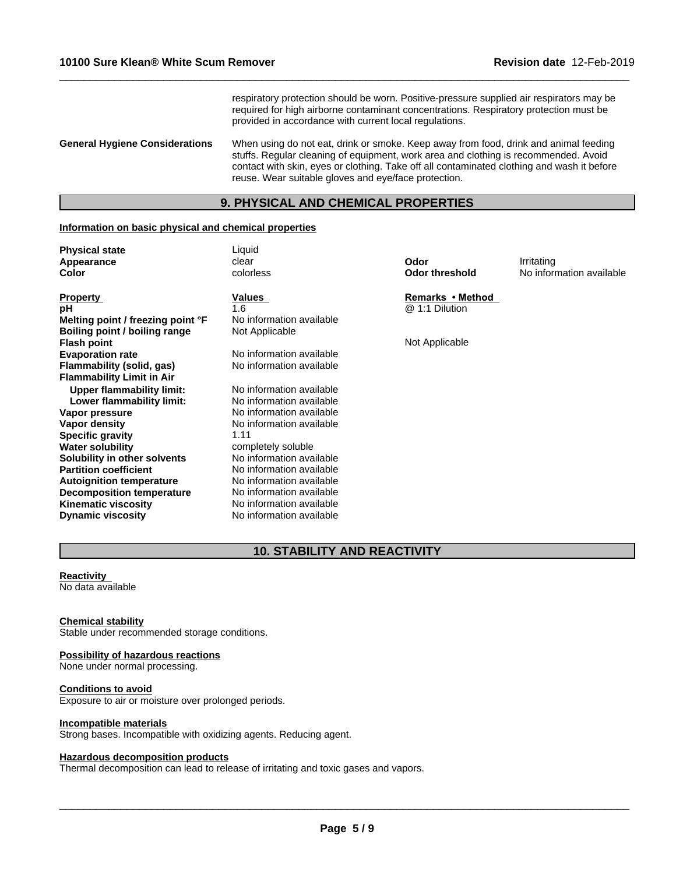respiratory protection should be worn. Positive-pressure supplied air respirators may be required for high airborne contaminant concentrations. Respiratory protection must be provided in accordance with current local regulations.

 $\_$  ,  $\_$  ,  $\_$  ,  $\_$  ,  $\_$  ,  $\_$  ,  $\_$  ,  $\_$  ,  $\_$  ,  $\_$  ,  $\_$  ,  $\_$  ,  $\_$  ,  $\_$  ,  $\_$  ,  $\_$  ,  $\_$  ,  $\_$  ,  $\_$  ,  $\_$  ,  $\_$  ,  $\_$  ,  $\_$  ,  $\_$  ,  $\_$  ,  $\_$  ,  $\_$  ,  $\_$  ,  $\_$  ,  $\_$  ,  $\_$  ,  $\_$  ,  $\_$  ,  $\_$  ,  $\_$  ,  $\_$  ,  $\_$  ,

**General Hygiene Considerations** When using do not eat, drink or smoke. Keep away from food, drink and animal feeding stuffs. Regular cleaning of equipment, work area and clothing is recommended. Avoid contact with skin, eyes or clothing. Take off all contaminated clothing and wash it before reuse. Wear suitable gloves and eye/face protection.

## **9. PHYSICAL AND CHEMICAL PROPERTIES**

#### **Information on basic physical and chemical properties**

| <b>Physical state</b> | Liquid    |                |                          |
|-----------------------|-----------|----------------|--------------------------|
| Appearance            | clear     | Odor           | Irritating               |
| Color                 | colorless | Odor threshold | No information available |

**Property Remarks •Method Values** *Remarks* •Method **pH** 2.1 Dilution 2.1.6 **and 2.1 District 2.1 District 2.1 District 2.1 Dilution Melting point / freezing point °F** No information available **Boiling point / boiling range Flash point**<br> **Evaporation rate**<br> **Evaporation rate**<br>
No information available<br>
Not Applicable **Flammability** (solid, gas) **Flammability Limit in Air Upper flammability limit:** No information available<br> **Lower flammability limit:** No information available **Lower flammability limit: Vapor pressure**<br> **Vapor density**<br> **Vapor density**<br> **Vapor density**<br> **No information available Specific gravity** 1.11 **Water solubility**<br> **Solubility in other solvents**<br>
No information available **Solubility in other solvents**<br>**Partition coefficient Autoignition temperature Decomposition temperature** No information available **Kinematic viscosity** No information available **Dynamic viscosity** No information available

No information available<br>No information available

**No information available** No information available<br>No information available

# **10. STABILITY AND REACTIVITY**

## **Reactivity**

No data available

#### **Chemical stability**

Stable under recommended storage conditions.

# **Possibility of hazardous reactions**

None under normal processing.

## **Conditions to avoid**

Exposure to air or moisture over prolonged periods.

#### **Incompatible materials**

Strong bases. Incompatible with oxidizing agents. Reducing agent.

## **Hazardous decomposition products**

Thermal decomposition can lead to release of irritating and toxic gases and vapors.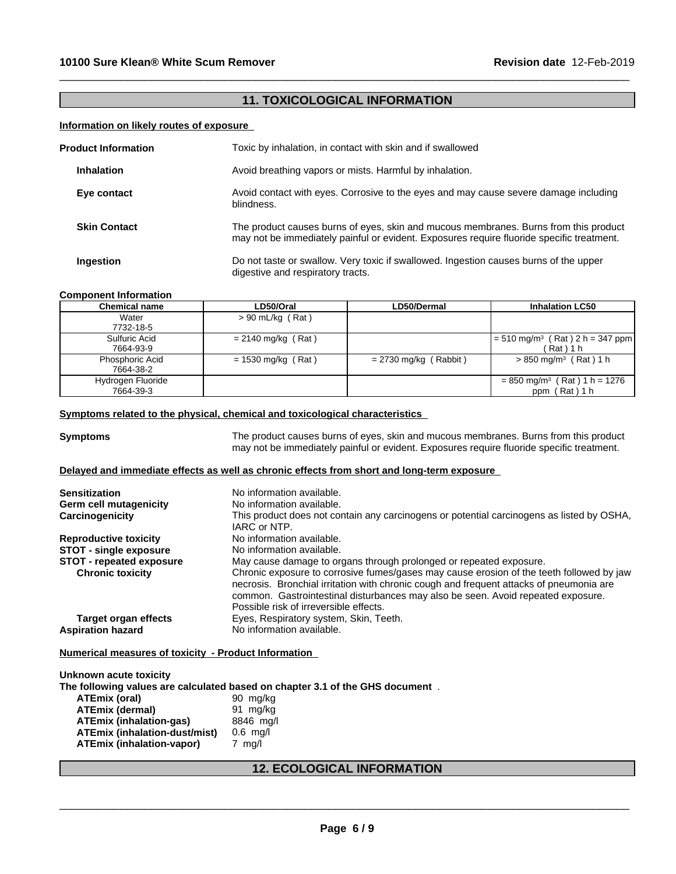# **11. TOXICOLOGICAL INFORMATION**

 $\_$  ,  $\_$  ,  $\_$  ,  $\_$  ,  $\_$  ,  $\_$  ,  $\_$  ,  $\_$  ,  $\_$  ,  $\_$  ,  $\_$  ,  $\_$  ,  $\_$  ,  $\_$  ,  $\_$  ,  $\_$  ,  $\_$  ,  $\_$  ,  $\_$  ,  $\_$  ,  $\_$  ,  $\_$  ,  $\_$  ,  $\_$  ,  $\_$  ,  $\_$  ,  $\_$  ,  $\_$  ,  $\_$  ,  $\_$  ,  $\_$  ,  $\_$  ,  $\_$  ,  $\_$  ,  $\_$  ,  $\_$  ,  $\_$  ,

## **Information on likely routes of exposure**

| <b>Product Information</b> | Toxic by inhalation, in contact with skin and if swallowed                                                                                                                        |
|----------------------------|-----------------------------------------------------------------------------------------------------------------------------------------------------------------------------------|
| <b>Inhalation</b>          | Avoid breathing vapors or mists. Harmful by inhalation.                                                                                                                           |
| Eye contact                | Avoid contact with eyes. Corrosive to the eyes and may cause severe damage including<br>blindness.                                                                                |
| <b>Skin Contact</b>        | The product causes burns of eyes, skin and mucous membranes. Burns from this product<br>may not be immediately painful or evident. Exposures require fluoride specific treatment. |
| <b>Ingestion</b>           | Do not taste or swallow. Very toxic if swallowed. Ingestion causes burns of the upper<br>digestive and respiratory tracts.                                                        |

## **Component Information**

| Chemical name                       | LD50/Oral            | LD50/Dermal             | <b>Inhalation LC50</b>                                            |
|-------------------------------------|----------------------|-------------------------|-------------------------------------------------------------------|
| Water                               | $> 90$ mL/kg (Rat)   |                         |                                                                   |
| 7732-18-5                           |                      |                         |                                                                   |
| Sulfuric Acid<br>7664-93-9          | $= 2140$ mg/kg (Rat) |                         | $= 510$ mg/m <sup>3</sup> (Rat) 2 h = 347 ppm<br>(Rat)1 h         |
| <b>Phosphoric Acid</b><br>7664-38-2 | $= 1530$ mg/kg (Rat) | $= 2730$ mg/kg (Rabbit) | $> 850$ mg/m <sup>3</sup> (Rat) 1 h                               |
| Hydrogen Fluoride<br>7664-39-3      |                      |                         | $= 850$ mg/m <sup>3</sup> (Rat) 1 h = 1276<br>(Rat ) 1 h<br>ppm ( |

## **Symptoms related to the physical, chemical and toxicological characteristics**

**Symptoms** The product causes burns of eyes, skin and mucous membranes. Burns from this product may not be immediately painful or evident. Exposures require fluoride specific treatment.

## **Delayed and immediate effects as well as chronic effects from short and long-term exposure**

| <b>Sensitization</b>            | No information available.                                                                                                                                                           |
|---------------------------------|-------------------------------------------------------------------------------------------------------------------------------------------------------------------------------------|
| Germ cell mutagenicity          | No information available.                                                                                                                                                           |
| Carcinogenicity                 | This product does not contain any carcinogens or potential carcinogens as listed by OSHA,                                                                                           |
|                                 | IARC or NTP.                                                                                                                                                                        |
| <b>Reproductive toxicity</b>    | No information available.                                                                                                                                                           |
| <b>STOT - single exposure</b>   | No information available.                                                                                                                                                           |
| <b>STOT - repeated exposure</b> | May cause damage to organs through prolonged or repeated exposure.                                                                                                                  |
| <b>Chronic toxicity</b>         | Chronic exposure to corrosive fumes/gases may cause erosion of the teeth followed by jaw<br>necrosis. Bronchial irritation with chronic cough and frequent attacks of pneumonia are |
|                                 | common. Gastrointestinal disturbances may also be seen. Avoid repeated exposure.                                                                                                    |
|                                 | Possible risk of irreversible effects.                                                                                                                                              |
| Target organ effects            | Eyes, Respiratory system, Skin, Teeth.                                                                                                                                              |
| <b>Aspiration hazard</b>        | No information available.                                                                                                                                                           |

#### **Numerical measures of toxicity - Product Information**

**Unknown acute toxicity The following values are calculated based on chapter 3.1 of the GHS document** . **ATEmix (oral)** 90 mg/kg<br>**ATEmix (dermal)** 91 mg/kg **ATEmix (dermal)**<br>**ATEmix (inhalation-gas)** 8846 mg/l **ATEmix (inhalation-gas) ATEmix (inhalation-dust/mist)** 0.6 mg/l **ATEmix (inhalation-vapor)** 7 mg/l

# **12. ECOLOGICAL INFORMATION**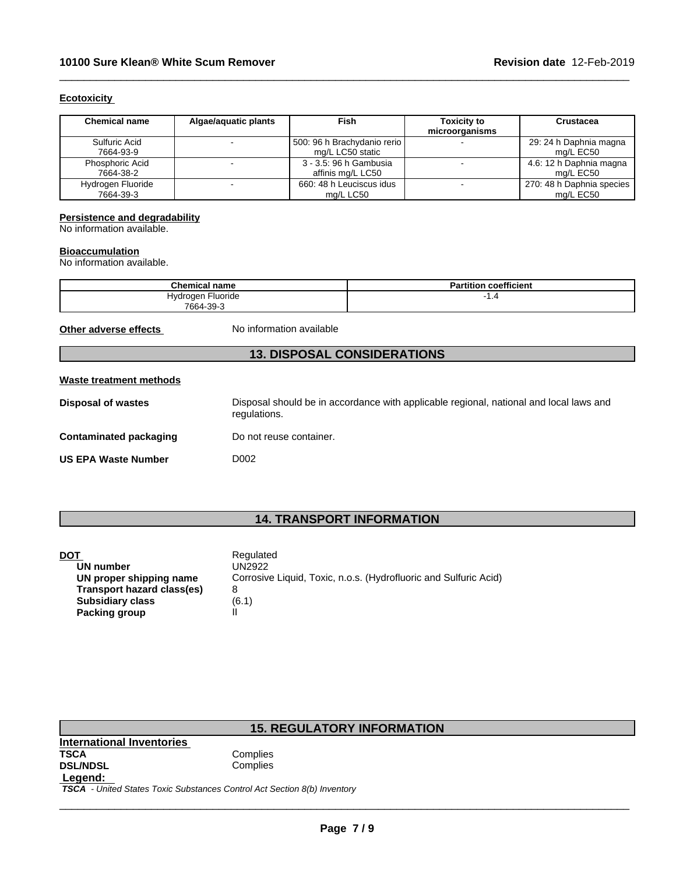## **Ecotoxicity**

| <b>Chemical name</b>           | Algae/aguatic plants | Fish                                            | <b>Toxicity to</b><br>microorganisms | <b>Crustacea</b>                       |
|--------------------------------|----------------------|-------------------------------------------------|--------------------------------------|----------------------------------------|
| Sulfuric Acid<br>7664-93-9     |                      | 500: 96 h Brachydanio rerio<br>mg/L LC50 static |                                      | 29: 24 h Daphnia magna<br>ma/L EC50    |
| Phosphoric Acid<br>7664-38-2   |                      | 3 - 3.5: 96 h Gambusia<br>affinis mg/L LC50     |                                      | 4.6: 12 h Daphnia magna<br>ma/L EC50   |
| Hydrogen Fluoride<br>7664-39-3 |                      | 660: 48 h Leuciscus idus<br>ma/L LC50           |                                      | 270: 48 h Daphnia species<br>ma/L EC50 |

 $\_$  ,  $\_$  ,  $\_$  ,  $\_$  ,  $\_$  ,  $\_$  ,  $\_$  ,  $\_$  ,  $\_$  ,  $\_$  ,  $\_$  ,  $\_$  ,  $\_$  ,  $\_$  ,  $\_$  ,  $\_$  ,  $\_$  ,  $\_$  ,  $\_$  ,  $\_$  ,  $\_$  ,  $\_$  ,  $\_$  ,  $\_$  ,  $\_$  ,  $\_$  ,  $\_$  ,  $\_$  ,  $\_$  ,  $\_$  ,  $\_$  ,  $\_$  ,  $\_$  ,  $\_$  ,  $\_$  ,  $\_$  ,  $\_$  ,

## **Persistence and degradability**

No information available.

## **Bioaccumulation**

No information available.

| Chemical name        | <br>coefficient<br>Partition |
|----------------------|------------------------------|
| Fluoride<br>Hydrogen | .4                           |
| 7664-39-3            |                              |

**Other adverse effects** No information available

# **13. DISPOSAL CONSIDERATIONS**

#### **Waste treatment methods**

| Disposal of wastes         | Disposal should be in accordance with applicable regional, national and local laws and<br>regulations. |
|----------------------------|--------------------------------------------------------------------------------------------------------|
| Contaminated packaging     | Do not reuse container.                                                                                |
| <b>US EPA Waste Number</b> | D002                                                                                                   |

# **14. TRANSPORT INFORMATION**

|    | . . |
|----|-----|
|    |     |
| ۰. |     |

| DOT                        | Regulated                                                        |
|----------------------------|------------------------------------------------------------------|
| UN number                  | UN2922                                                           |
| UN proper shipping name    | Corrosive Liquid, Toxic, n.o.s. (Hydrofluoric and Sulfuric Acid) |
| Transport hazard class(es) |                                                                  |
| <b>Subsidiary class</b>    | (6.1)                                                            |
| Packing group              |                                                                  |

| <b>15. REGULATORY INFORMATION</b> |          |  |  |  |
|-----------------------------------|----------|--|--|--|
| International Inventories         |          |  |  |  |
| <b>TSCA</b>                       | Complies |  |  |  |
| <b>DSL/NDSL</b>                   | Complies |  |  |  |
| Legend:                           |          |  |  |  |

 *TSCA - United States Toxic Substances Control Act Section 8(b) Inventory*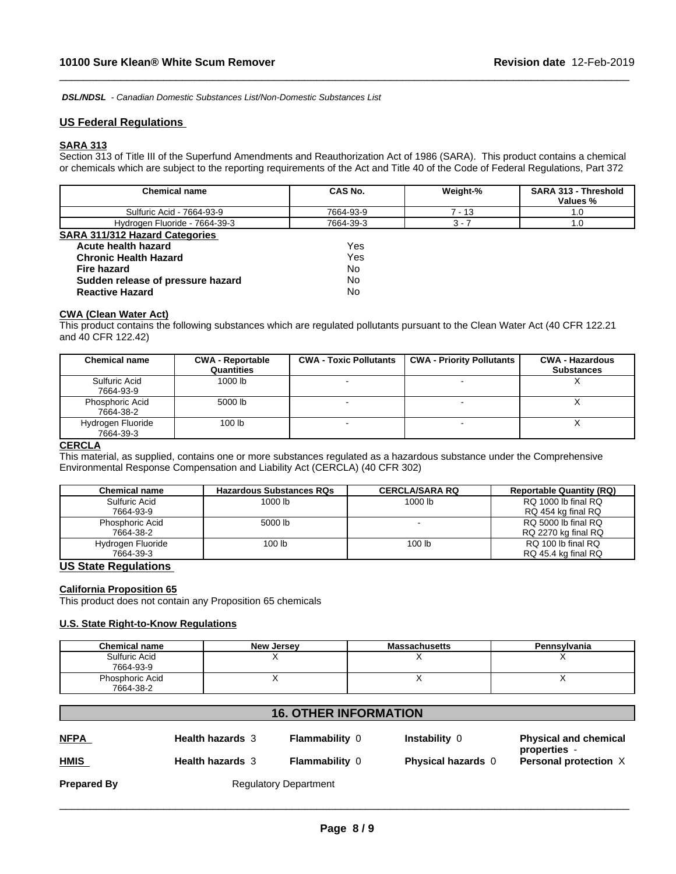*DSL/NDSL - Canadian Domestic Substances List/Non-Domestic Substances List*

## **US Federal Regulations**

# **SARA 313**

Section 313 of Title III of the Superfund Amendments and Reauthorization Act of 1986 (SARA). This product contains a chemical or chemicals which are subject to the reporting requirements of the Act and Title 40 of the Code of Federal Regulations, Part 372

 $\_$  ,  $\_$  ,  $\_$  ,  $\_$  ,  $\_$  ,  $\_$  ,  $\_$  ,  $\_$  ,  $\_$  ,  $\_$  ,  $\_$  ,  $\_$  ,  $\_$  ,  $\_$  ,  $\_$  ,  $\_$  ,  $\_$  ,  $\_$  ,  $\_$  ,  $\_$  ,  $\_$  ,  $\_$  ,  $\_$  ,  $\_$  ,  $\_$  ,  $\_$  ,  $\_$  ,  $\_$  ,  $\_$  ,  $\_$  ,  $\_$  ,  $\_$  ,  $\_$  ,  $\_$  ,  $\_$  ,  $\_$  ,  $\_$  ,

| Chemical name                         | CAS No.   | Weight-% | <b>SARA 313 - Threshold</b><br>Values % |
|---------------------------------------|-----------|----------|-----------------------------------------|
| Sulfuric Acid - 7664-93-9             | 7664-93-9 | $7 - 13$ | 1.0                                     |
| Hydrogen Fluoride - 7664-39-3         | 7664-39-3 | $3 - 7$  | 1.0                                     |
| <b>SARA 311/312 Hazard Categories</b> |           |          |                                         |
| Acute health hazard                   | Yes       |          |                                         |
| <b>Chronic Health Hazard</b>          | Yes       |          |                                         |
| <b>Fire hazard</b>                    | No        |          |                                         |
| Sudden release of pressure hazard     | No        |          |                                         |
| <b>Reactive Hazard</b>                | No        |          |                                         |

## **CWA** (Clean Water Act)

This product contains the following substances which are regulated pollutants pursuant to the Clean Water Act (40 CFR 122.21 and 40 CFR 122.42)

| <b>Chemical name</b>           | <b>CWA - Reportable</b><br>Quantities | <b>CWA - Toxic Pollutants</b> | <b>CWA - Priority Pollutants</b> | <b>CWA - Hazardous</b><br><b>Substances</b> |
|--------------------------------|---------------------------------------|-------------------------------|----------------------------------|---------------------------------------------|
| Sulfuric Acid<br>7664-93-9     | 1000 lb                               |                               |                                  | $\lambda$                                   |
| Phosphoric Acid<br>7664-38-2   | 5000 lb                               |                               |                                  |                                             |
| Hydrogen Fluoride<br>7664-39-3 | 100 <sub>lb</sub>                     |                               |                                  | $\lambda$                                   |

## **CERCLA**

This material, as supplied, contains one or more substances regulated as a hazardous substance under the Comprehensive Environmental Response Compensation and Liability Act (CERCLA) (40 CFR 302)

| Chemical name     | <b>Hazardous Substances RQs</b> | <b>CERCLA/SARA RQ</b> | <b>Reportable Quantity (RQ)</b> |
|-------------------|---------------------------------|-----------------------|---------------------------------|
| Sulfuric Acid     | 1000 lb                         | 1000 lb               | RQ 1000 lb final RQ             |
| 7664-93-9         |                                 |                       | RQ 454 kg final RQ              |
| Phosphoric Acid   | 5000 lb                         |                       | RQ 5000 lb final RQ             |
| 7664-38-2         |                                 |                       | RQ 2270 kg final RQ             |
| Hydrogen Fluoride | 100 <sub>lb</sub>               | 100 lb                | RQ 100 lb final RQ              |
| 7664-39-3         |                                 |                       | RQ 45.4 kg final RQ             |

# **US State Regulations**

## **California Proposition 65**

This product does not contain any Proposition 65 chemicals

## **U.S. State Right-to-Know Regulations**

| <b>Chemical name</b> | <b>New Jersey</b> | <b>Massachusetts</b> | Pennsylvania |
|----------------------|-------------------|----------------------|--------------|
| Sulfuric Acid        |                   |                      |              |
| 7664-93-9            |                   |                      |              |
| Phosphoric Acid      |                   |                      |              |
| 7664-38-2            |                   |                      |              |

# **16. OTHER INFORMATION**